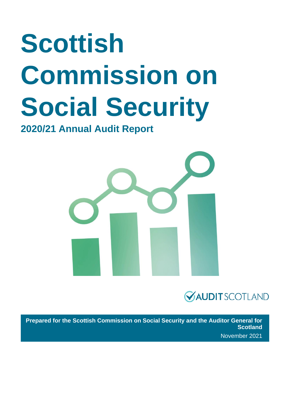# **Scottish Commission on Social Security**

**2020/21 Annual Audit Report**





**Prepared for the Scottish Commission on Social Security and the Auditor General for Scotland** November 2021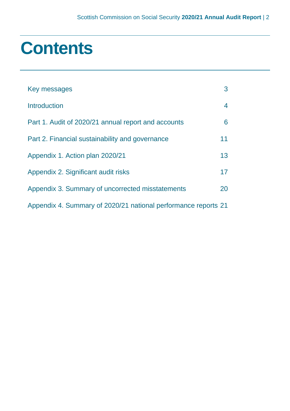### **Contents**

| Key messages                                                   | 3              |
|----------------------------------------------------------------|----------------|
| <b>Introduction</b>                                            | $\overline{4}$ |
| Part 1. Audit of 2020/21 annual report and accounts            | 6              |
| Part 2. Financial sustainability and governance                | 11             |
| Appendix 1. Action plan 2020/21                                | 13             |
| Appendix 2. Significant audit risks                            | 17             |
| Appendix 3. Summary of uncorrected misstatements               | 20             |
| Appendix 4. Summary of 2020/21 national performance reports 21 |                |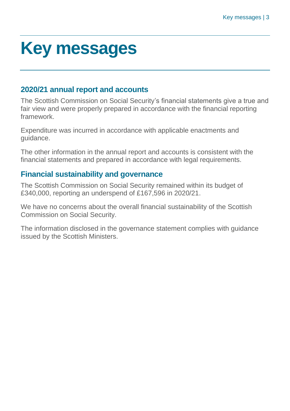### <span id="page-2-0"></span>**Key messages**

#### **2020/21 annual report and accounts**

The Scottish Commission on Social Security's financial statements give a true and fair view and were properly prepared in accordance with the financial reporting framework.

Expenditure was incurred in accordance with applicable enactments and guidance.

The other information in the annual report and accounts is consistent with the financial statements and prepared in accordance with legal requirements.

#### **Financial sustainability and governance**

The Scottish Commission on Social Security remained within its budget of £340,000, reporting an underspend of £167,596 in 2020/21.

We have no concerns about the overall financial sustainability of the Scottish Commission on Social Security.

The information disclosed in the governance statement complies with guidance issued by the Scottish Ministers.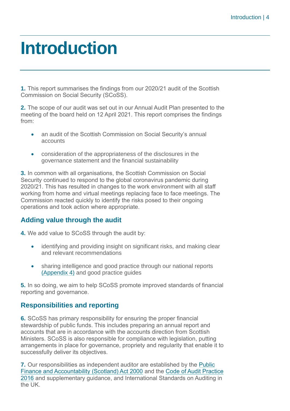### <span id="page-3-0"></span>**Introduction**

**1.** This report summarises the findings from our 2020/21 audit of the Scottish Commission on Social Security (SCoSS).

**2.** The scope of our audit was set out in our Annual Audit Plan presented to the meeting of the board held on 12 April 2021. This report comprises the findings from:

- an audit of the Scottish Commission on Social Security's annual accounts
- consideration of the appropriateness of the disclosures in the governance statement and the financial sustainability

**3.** In common with all organisations, the Scottish Commission on Social Security continued to respond to the global coronavirus pandemic during 2020/21. This has resulted in changes to the work environment with all staff working from home and virtual meetings replacing face to face meetings. The Commission reacted quickly to identify the risks posed to their ongoing operations and took action where appropriate.

#### **Adding value through the audit**

**4.** We add value to SCoSS through the audit by:

- identifying and providing insight on significant risks, and making clear and relevant recommendations
- sharing intelligence and good practice through our national reports [\(Appendix 4\)](#page-20-0) and good practice guides

**5.** In so doing, we aim to help SCoSS promote improved standards of financial reporting and governance.

#### **Responsibilities and reporting**

**6.** SCoSS has primary responsibility for ensuring the proper financial stewardship of public funds. This includes preparing an annual report and accounts that are in accordance with the accounts direction from Scottish Ministers. SCoSS is also responsible for compliance with legislation, putting arrangements in place for governance, propriety and regularity that enable it to successfully deliver its objectives.

**7.** Our responsibilities as independent auditor are established by the [Public](https://www.legislation.gov.uk/asp/2000/1/contents)  [Finance and Accountability \(Scotland\) Act 2000](https://www.legislation.gov.uk/asp/2000/1/contents) and the [Code of Audit Practice](https://www.audit-scotland.gov.uk/report/code-of-audit-practice-2016)  [2016](https://www.audit-scotland.gov.uk/report/code-of-audit-practice-2016) and supplementary guidance, and International Standards on Auditing in the UK.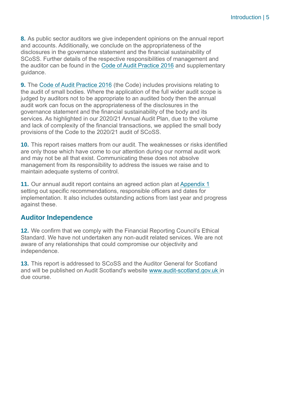**8.** As public sector auditors we give independent opinions on the annual report and accounts. Additionally, we conclude on the appropriateness of the disclosures in the governance statement and the financial sustainability of SCoSS. Further details of the respective responsibilities of management and the auditor can be found in the [Code of Audit Practice 2016](https://www.audit-scotland.gov.uk/report/code-of-audit-practice-2016) and supplementary guidance.

**9.** The [Code of Audit Practice 2016](https://www.audit-scotland.gov.uk/report/code-of-audit-practice-2016) (the Code) includes provisions relating to the audit of small bodies. Where the application of the full wider audit scope is judged by auditors not to be appropriate to an audited body then the annual audit work can focus on the appropriateness of the disclosures in the governance statement and the financial sustainability of the body and its services. As highlighted in our 2020/21 Annual Audit Plan, due to the volume and lack of complexity of the financial transactions, we applied the small body provisions of the Code to the 2020/21 audit of SCoSS.

**10.** This report raises matters from our audit. The weaknesses or risks identified are only those which have come to our attention during our normal audit work and may not be all that exist. Communicating these does not absolve management from its responsibility to address the issues we raise and to maintain adequate systems of control.

**11.** Our annual audit report contains an agreed action plan at [Appendix 1](#page-12-0) setting out specific recommendations, responsible officers and dates for implementation. It also includes outstanding actions from last year and progress against these.

#### **Auditor Independence**

**12.** We confirm that we comply with the Financial Reporting Council's Ethical Standard. We have not undertaken any non-audit related services. We are not aware of any relationships that could compromise our objectivity and independence.

**13.** This report is addressed to SCoSS and the Auditor General for Scotland and will be published on Audit Scotland's website [www.audit-scotland.gov.uk](https://www.audit-scotland.gov.uk/) in due course.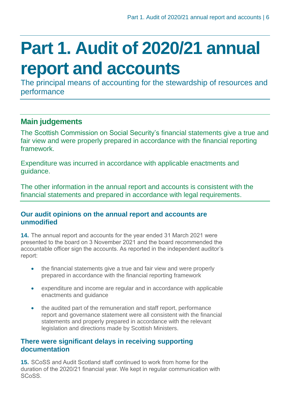## <span id="page-5-0"></span>**Part 1. Audit of 2020/21 annual report and accounts**

The principal means of accounting for the stewardship of resources and performance

### **Main judgements**

The Scottish Commission on Social Security's financial statements give a true and fair view and were properly prepared in accordance with the financial reporting framework.

Expenditure was incurred in accordance with applicable enactments and guidance.

The other information in the annual report and accounts is consistent with the financial statements and prepared in accordance with legal requirements.

#### **Our audit opinions on the annual report and accounts are unmodified**

**14.** The annual report and accounts for the year ended 31 March 2021 were presented to the board on 3 November 2021 and the board recommended the accountable officer sign the accounts. As reported in the independent auditor's report:

- the financial statements give a true and fair view and were properly prepared in accordance with the financial reporting framework
- expenditure and income are regular and in accordance with applicable enactments and guidance
- the audited part of the remuneration and staff report, performance report and governance statement were all consistent with the financial statements and properly prepared in accordance with the relevant legislation and directions made by Scottish Ministers.

#### **There were significant delays in receiving supporting documentation**

**15.** SCoSS and Audit Scotland staff continued to work from home for the duration of the 2020/21 financial year. We kept in regular communication with SCoSS.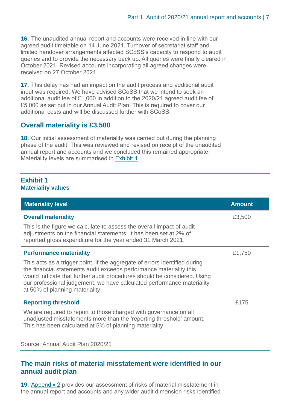**16.** The unaudited annual report and accounts were received in line with our agreed audit timetable on 14 June 2021. Turnover of secretariat staff and limited handover arrangements affected SCoSS's capacity to respond to audit queries and to provide the necessary back up. All queries were finally cleared in October 2021. Revised accounts incorporating all agreed changes were received on 27 October 2021.

**17.** This delay has had an impact on the audit process and additional audit input was required. We have advised SCoSS that we intend to seek an additional audit fee of £1,000 in addition to the 2020/21 agreed audit fee of £5,000 as set out in our Annual Audit Plan. This is required to cover our additional costs and will be discussed further with SCoSS

#### **Overall materiality is £3,500**

**18.** Our initial assessment of materiality was carried out during the planning phase of the audit. This was reviewed and revised on receipt of the unaudited annual report and accounts and we concluded this remained appropriate. Materiality levels are summarised in [Exhibit](#page-6-0) 1.

#### <span id="page-6-0"></span>**Exhibit 1 Materiality values**

| <b>Materiality level</b>                                                                                                                                                                                                                                                                                                                   | <b>Amount</b> |
|--------------------------------------------------------------------------------------------------------------------------------------------------------------------------------------------------------------------------------------------------------------------------------------------------------------------------------------------|---------------|
| <b>Overall materiality</b>                                                                                                                                                                                                                                                                                                                 | £3,500        |
| This is the figure we calculate to assess the overall impact of audit<br>adjustments on the financial statements. It has been set at 2% of<br>reported gross expenditure for the year ended 31 March 2021.                                                                                                                                 |               |
| <b>Performance materiality</b>                                                                                                                                                                                                                                                                                                             | £1,750        |
| This acts as a trigger point. If the aggregate of errors identified during<br>the financial statements audit exceeds performance materiality this<br>would indicate that further audit procedures should be considered. Using<br>our professional judgement, we have calculated performance materiality<br>at 50% of planning materiality. |               |
| <b>Reporting threshold</b>                                                                                                                                                                                                                                                                                                                 | £175          |
| We are required to report to those charged with governance on all<br>unadjusted misstatements more than the 'reporting threshold' amount.<br>This has been calculated at 5% of planning materiality.                                                                                                                                       |               |

Source: Annual Audit Plan 2020/21

#### **The main risks of material misstatement were identified in our annual audit plan**

**19.** [Appendix 2](#page-16-0) provides our assessment of risks of material misstatement in the annual report and accounts and any wider audit dimension risks identified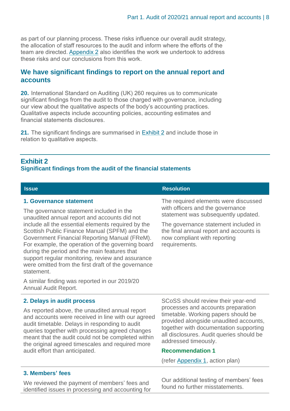as part of our planning process. These risks influence our overall audit strategy, the allocation of staff resources to the audit and inform where the efforts of the team are directed. [Appendix 2](#page-16-0) also identifies the work we undertook to address these risks and our conclusions from this work.

#### **We have significant findings to report on the annual report and accounts**

**20.** International Standard on Auditing (UK) 260 requires us to communicate significant findings from the audit to those charged with governance, including our view about the qualitative aspects of the body's accounting practices. Qualitative aspects include accounting policies, accounting estimates and financial statements disclosures.

**21.** The significant findings are summarised in [Exhibit](#page-7-0) 2 and include those in relation to qualitative aspects.

#### <span id="page-7-0"></span>**Exhibit 2**

#### **Significant findings from the audit of the financial statements**

| <b>Issue</b>                                                                                                                                                                                                                                                                                                                                                                                                                                                                                              | <b>Resolution</b>                                                                                                                                                                                                                                   |
|-----------------------------------------------------------------------------------------------------------------------------------------------------------------------------------------------------------------------------------------------------------------------------------------------------------------------------------------------------------------------------------------------------------------------------------------------------------------------------------------------------------|-----------------------------------------------------------------------------------------------------------------------------------------------------------------------------------------------------------------------------------------------------|
| 1. Governance statement<br>The governance statement included in the<br>unaudited annual report and accounts did not<br>include all the essential elements required by the<br>Scottish Public Finance Manual (SPFM) and the<br>Government Financial Reporting Manual (FReM).<br>For example, the operation of the governing board<br>during the period and the main features that<br>support regular monitoring, review and assurance<br>were omitted from the first draft of the governance<br>statement. | The required elements were discussed<br>with officers and the governance<br>statement was subsequently updated.<br>The governance statement included in<br>the final annual report and accounts is<br>now compliant with reporting<br>requirements. |
| A similar finding was reported in our 2019/20<br>Annual Audit Report.                                                                                                                                                                                                                                                                                                                                                                                                                                     |                                                                                                                                                                                                                                                     |

**2. Delays in audit process**

As reported above, the unaudited annual report and accounts were received in line with our agreed audit timetable. Delays in responding to audit queries together with processing agreed changes meant that the audit could not be completed within the original agreed timescales and required more audit effort than anticipated.

SCoSS should review their year-end processes and accounts preparation timetable. Working papers should be provided alongside unaudited accounts, together with documentation supporting all disclosures. Audit queries should be addressed timeously.

#### **Recommendation 1**

(refer [Appendix 1,](#page-12-0) action plan)

#### **3. Members' fees**

We reviewed the payment of members' fees and identified issues in processing and accounting for Our additional testing of members' fees found no further misstatements.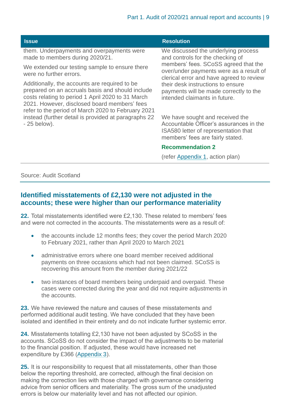| <b>Issue</b>                                                                                                                                                                                                                                                                                                                          | <b>Resolution</b>                                                                                                                                      |
|---------------------------------------------------------------------------------------------------------------------------------------------------------------------------------------------------------------------------------------------------------------------------------------------------------------------------------------|--------------------------------------------------------------------------------------------------------------------------------------------------------|
| them. Underpayments and overpayments were<br>made to members during 2020/21.                                                                                                                                                                                                                                                          | We discussed the underlying process<br>and controls for the checking of                                                                                |
| We extended our testing sample to ensure there<br>were no further errors.                                                                                                                                                                                                                                                             | members' fees. SCoSS agreed that the<br>over/under payments were as a result of<br>clerical error and have agreed to review                            |
| Additionally, the accounts are required to be<br>prepared on an accruals basis and should include<br>costs relating to period 1 April 2020 to 31 March<br>2021. However, disclosed board members' fees<br>refer to the period of March 2020 to February 2021<br>instead (further detail is provided at paragraphs 22<br>$-25$ below). | their desk instructions to ensure<br>payments will be made correctly to the<br>intended claimants in future.                                           |
|                                                                                                                                                                                                                                                                                                                                       | We have sought and received the<br>Accountable Officer's assurances in the<br>ISA580 letter of representation that<br>members' fees are fairly stated. |
|                                                                                                                                                                                                                                                                                                                                       | <b>Recommendation 2</b>                                                                                                                                |
|                                                                                                                                                                                                                                                                                                                                       | (refer Appendix 1, action plan)                                                                                                                        |

Source: Audit Scotland

#### **Identified misstatements of £2,130 were not adjusted in the accounts; these were higher than our performance materiality**

**22.** Total misstatements identified were £2,130. These related to members' fees and were not corrected in the accounts. The misstatements were as a result of:

- the accounts include 12 months fees; they cover the period March 2020 to February 2021, rather than April 2020 to March 2021
- administrative errors where one board member received additional payments on three occasions which had not been claimed. SCoSS is recovering this amount from the member during 2021/22
- two instances of board members being underpaid and overpaid. These cases were corrected during the year and did not require adjustments in the accounts.

**23.** We have reviewed the nature and causes of these misstatements and performed additional audit testing. We have concluded that they have been isolated and identified in their entirety and do not indicate further systemic error.

**24.** Misstatements totalling £2,130 have not been adjusted by SCoSS in the accounts. SCoSS do not consider the impact of the adjustments to be material to the financial position. If adjusted, these would have increased net expenditure by £366 [\(Appendix 3\).](#page-19-0)

**25.** It is our responsibility to request that all misstatements, other than those below the reporting threshold, are corrected, although the final decision on making the correction lies with those charged with governance considering advice from senior officers and materiality. The gross sum of the unadjusted errors is below our materiality level and has not affected our opinion.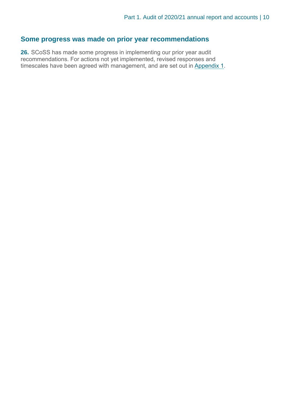#### **Some progress was made on prior year recommendations**

**26.** SCoSS has made some progress in implementing our prior year audit recommendations. For actions not yet implemented, revised responses and timescales have been agreed with management, and are set out in [Appendix 1.](#page-12-0)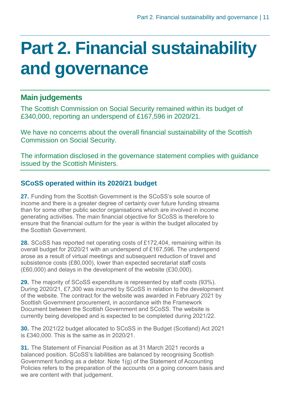### <span id="page-10-0"></span>**Part 2. Financial sustainability and governance**

#### **Main judgements**

The Scottish Commission on Social Security remained within its budget of £340,000, reporting an underspend of £167,596 in 2020/21.

We have no concerns about the overall financial sustainability of the Scottish Commission on Social Security.

The information disclosed in the governance statement complies with guidance issued by the Scottish Ministers.

#### **SCoSS operated within its 2020/21 budget**

**27.** Funding from the Scottish Government is the SCoSS's sole source of income and there is a greater degree of certainty over future funding streams than for some other public sector organisations which are involved in income generating activities. The main financial objective for SCoSS is therefore to ensure that the financial outturn for the year is within the budget allocated by the Scottish Government.

**28.** SCoSS has reported net operating costs of £172,404, remaining within its overall budget for 2020/21 with an underspend of £167,596. The underspend arose as a result of virtual meetings and subsequent reduction of travel and subsistence costs (£80,000), lower than expected secretariat staff costs (£60,000) and delays in the development of the website (£30,000).

**29.** The majority of SCoSS expenditure is represented by staff costs (93%). During 2020/21, £7,300 was incurred by SCoSS in relation to the development of the website. The contract for the website was awarded in February 2021 by Scottish Government procurement, in accordance with the Framework Document between the Scottish Government and SCoSS. The website is currently being developed and is expected to be completed during 2021/22.

**30.** The 2021/22 budget allocated to SCoSS in the Budget (Scotland) Act 2021 is £340,000. This is the same as in 2020/21.

**31.** The Statement of Financial Position as at 31 March 2021 records a balanced position. SCoSS's liabilities are balanced by recognising Scottish Government funding as a debtor. Note 1(g) of the Statement of Accounting Policies refers to the preparation of the accounts on a going concern basis and we are content with that judgement.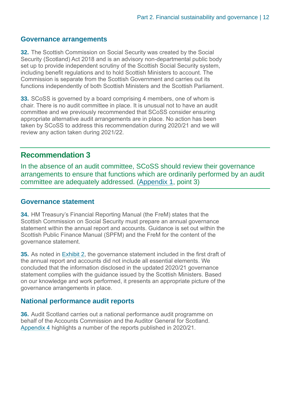#### **Governance arrangements**

**32.** The Scottish Commission on Social Security was created by the Social Security (Scotland) Act 2018 and is an advisory non-departmental public body set up to provide independent scrutiny of the Scottish Social Security system, including benefit regulations and to hold Scottish Ministers to account. The Commission is separate from the Scottish Government and carries out its functions independently of both Scottish Ministers and the Scottish Parliament.

**33.** SCoSS is governed by a board comprising 4 members, one of whom is chair. There is no audit committee in place. It is unusual not to have an audit committee and we previously recommended that SCoSS consider ensuring appropriate alternative audit arrangements are in place. No action has been taken by SCoSS to address this recommendation during 2020/21 and we will review any action taken during 2021/22.

#### **Recommendation 3**

In the absence of an audit committee, SCoSS should review their governance arrangements to ensure that functions which are ordinarily performed by an audit committee are adequately addressed. [\(Appendix 1,](#page-12-0) point 3)

#### **Governance statement**

**34.** HM Treasury's Financial Reporting Manual (the FreM) states that the Scottish Commission on Social Security must prepare an annual governance statement within the annual report and accounts. Guidance is set out within the Scottish Public Finance Manual (SPFM) and the FreM for the content of the governance statement.

**35.** As noted in [Exhibit 2,](#page-7-0) the governance statement included in the first draft of the annual report and accounts did not include all essential elements. We concluded that the information disclosed in the updated 2020/21 governance statement complies with the guidance issued by the Scottish Ministers. Based on our knowledge and work performed, it presents an appropriate picture of the governance arrangements in place.

#### **National performance audit reports**

**36.** Audit Scotland carries out a national performance audit programme on behalf of the Accounts Commission and the Auditor General for Scotland. [Appendix 4](#page-20-0) highlights a number of the reports published in 2020/21.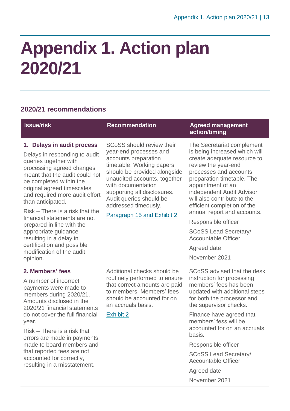## <span id="page-12-0"></span>**Appendix 1. Action plan 2020/21**

#### **2020/21 recommendations**

| <b>Issue/risk</b>                                                                                                                                                                                                                                                                                                                                                                           | <b>Recommendation</b>                                                                                                                                                                                                                                                                                                 | <b>Agreed management</b><br>action/timing                                                                                                                                                                                                                                                                                                                                       |
|---------------------------------------------------------------------------------------------------------------------------------------------------------------------------------------------------------------------------------------------------------------------------------------------------------------------------------------------------------------------------------------------|-----------------------------------------------------------------------------------------------------------------------------------------------------------------------------------------------------------------------------------------------------------------------------------------------------------------------|---------------------------------------------------------------------------------------------------------------------------------------------------------------------------------------------------------------------------------------------------------------------------------------------------------------------------------------------------------------------------------|
| 1. Delays in audit process<br>Delays in responding to audit<br>queries together with<br>processing agreed changes<br>meant that the audit could not<br>be completed within the<br>original agreed timescales<br>and required more audit effort<br>than anticipated.<br>Risk – There is a risk that the<br>financial statements are not<br>prepared in line with the<br>appropriate guidance | <b>SCoSS</b> should review their<br>year-end processes and<br>accounts preparation<br>timetable. Working papers<br>should be provided alongside<br>unaudited accounts, together<br>with documentation<br>supporting all disclosures.<br>Audit queries should be<br>addressed timeously.<br>Paragraph 15 and Exhibit 2 | The Secretariat complement<br>is being increased which will<br>create adequate resource to<br>review the year-end<br>processes and accounts<br>preparation timetable. The<br>appointment of an<br>independent Audit Advisor<br>will also contribute to the<br>efficient completion of the<br>annual report and accounts.<br>Responsible officer<br><b>SCoSS Lead Secretary/</b> |
| resulting in a delay in<br>certification and possible<br>modification of the audit<br>opinion.                                                                                                                                                                                                                                                                                              |                                                                                                                                                                                                                                                                                                                       | <b>Accountable Officer</b><br>Agreed date<br>November 2021                                                                                                                                                                                                                                                                                                                      |
| 2. Members' fees<br>A number of incorrect<br>payments were made to<br>members during 2020/21.<br>Amounts disclosed in the<br>2020/21 financial statements                                                                                                                                                                                                                                   | Additional checks should be<br>routinely performed to ensure<br>that correct amounts are paid<br>to members. Members' fees<br>should be accounted for on<br>an accruals basis.                                                                                                                                        | SCoSS advised that the desk<br>instruction for processing<br>members' fees has been<br>updated with additional steps<br>for both the processor and<br>the supervisor checks.                                                                                                                                                                                                    |
| do not cover the full financial<br>year.<br>Risk – There is a risk that<br>errors are made in payments                                                                                                                                                                                                                                                                                      | <b>Exhibit 2</b>                                                                                                                                                                                                                                                                                                      | Finance have agreed that<br>members' fess will be<br>accounted for on an accruals<br>basis.                                                                                                                                                                                                                                                                                     |
| made to board members and                                                                                                                                                                                                                                                                                                                                                                   |                                                                                                                                                                                                                                                                                                                       | Responsible officer                                                                                                                                                                                                                                                                                                                                                             |
| that reported fees are not<br>accounted for correctly,<br>resulting in a misstatement.                                                                                                                                                                                                                                                                                                      |                                                                                                                                                                                                                                                                                                                       | <b>SCoSS Lead Secretary/</b><br><b>Accountable Officer</b>                                                                                                                                                                                                                                                                                                                      |
|                                                                                                                                                                                                                                                                                                                                                                                             |                                                                                                                                                                                                                                                                                                                       | Agreed date                                                                                                                                                                                                                                                                                                                                                                     |
|                                                                                                                                                                                                                                                                                                                                                                                             |                                                                                                                                                                                                                                                                                                                       | November 2021                                                                                                                                                                                                                                                                                                                                                                   |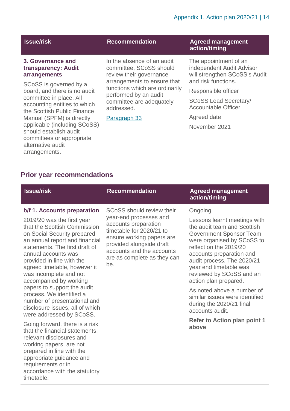#### **3. Governance and transparency: Audit arrangements**

SCoSS is governed by a board, and there is no audit committee in place. All accounting entities to which the Scottish Public Finance Manual (SPFM) is directly applicable (including SCoSS) should establish audit committees or appropriate alternative audit arrangements.

In the absence of an audit committee, SCoSS should review their governance arrangements to ensure that functions which are ordinarily performed by an audit committee are adequately addressed.

#### Paragraph 33

#### **Issue/risk Recommendation Agreed management action/timing**

The appointment of an independent Audit Advisor will strengthen SCoSS's Audit and risk functions.

Responsible officer

SCoSS Lead Secretary/ Accountable Officer

Agreed date

November 2021

#### **Prior year recommendations**

#### **Issue/risk Recommendation Agreed management action/timing b/f 1. Accounts preparation** 2019/20 was the first year that the Scottish Commission on Social Security prepared an annual report and financial statements. The first draft of annual accounts was provided in line with the agreed timetable, however it was incomplete and not accompanied by working papers to support the audit process. We identified a number of presentational and disclosure issues, all of which were addressed by SCoSS. Going forward, there is a risk that the financial statements, relevant disclosures and working papers, are not SCoSS should review their year-end processes and accounts preparation timetable for 2020/21 to ensure working papers are provided alongside draft accounts and the accounts are as complete as they can be. Ongoing Lessons learnt meetings with the audit team and Scottish Government Sponsor Team were organised by SCoSS to reflect on the 2019/20 accounts preparation and audit process. The 2020/21 year end timetable was reviewed by SCoSS and an action plan prepared. As noted above a number of similar issues were identified during the 2020/21 final accounts audit. **Refer to Action plan point 1 above**

prepared in line with the appropriate guidance and requirements or in accordance with the statutory timetable.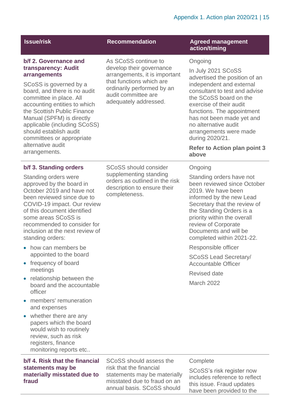| <b>Issue/risk</b>                                                                                                                                                                                                                                                                                                                                 | <b>Recommendation</b>                                                                                                                                               | <b>Agreed management</b><br>action/timing                                                                                                                                                                                                                                                                                                             |
|---------------------------------------------------------------------------------------------------------------------------------------------------------------------------------------------------------------------------------------------------------------------------------------------------------------------------------------------------|---------------------------------------------------------------------------------------------------------------------------------------------------------------------|-------------------------------------------------------------------------------------------------------------------------------------------------------------------------------------------------------------------------------------------------------------------------------------------------------------------------------------------------------|
| b/f 2. Governance and                                                                                                                                                                                                                                                                                                                             | As SCoSS continue to                                                                                                                                                | Ongoing                                                                                                                                                                                                                                                                                                                                               |
| transparency: Audit<br>arrangements<br>SCoSS is governed by a<br>board, and there is no audit<br>committee in place. All<br>accounting entities to which<br>the Scottish Public Finance<br>Manual (SPFM) is directly<br>applicable (including SCoSS)<br>should establish audit<br>committees or appropriate<br>alternative audit<br>arrangements. | develop their governance<br>arrangements, it is important<br>that functions which are<br>ordinarily performed by an<br>audit committee are<br>adequately addressed. | In July 2021 SCoSS<br>advertised the position of an<br>independent and external<br>consultant to test and advise<br>the SCoSS board on the<br>exercise of their audit<br>functions. The appointment<br>has not been made yet and<br>no alternative audit<br>arrangements were made<br>during 2020/21.<br><b>Refer to Action plan point 3</b><br>above |
| b/f 3. Standing orders                                                                                                                                                                                                                                                                                                                            | <b>SCoSS</b> should consider                                                                                                                                        | Ongoing                                                                                                                                                                                                                                                                                                                                               |
| Standing orders were<br>approved by the board in<br>October 2019 and have not<br>been reviewed since due to<br>COVID-19 impact. Our review<br>of this document identified<br>some areas SCoSS is<br>recommended to consider for<br>inclusion at the next review of<br>standing orders:                                                            | supplementing standing<br>orders as outlined in the risk<br>description to ensure their<br>completeness.                                                            | Standing orders have not<br>been reviewed since October<br>2019. We have been<br>informed by the new Lead<br>Secretary that the review of<br>the Standing Orders is a<br>priority within the overall<br>review of Corporate<br>Documents and will be<br>completed within 2021-22.                                                                     |
| • how can members be<br>appointed to the board                                                                                                                                                                                                                                                                                                    |                                                                                                                                                                     | Responsible officer                                                                                                                                                                                                                                                                                                                                   |
| frequency of board<br>$\bullet$<br>meetings                                                                                                                                                                                                                                                                                                       |                                                                                                                                                                     | <b>SCoSS Lead Secretary/</b><br><b>Accountable Officer</b>                                                                                                                                                                                                                                                                                            |
| relationship between the<br>$\bullet$                                                                                                                                                                                                                                                                                                             |                                                                                                                                                                     | <b>Revised date</b>                                                                                                                                                                                                                                                                                                                                   |
| board and the accountable<br>officer                                                                                                                                                                                                                                                                                                              |                                                                                                                                                                     | <b>March 2022</b>                                                                                                                                                                                                                                                                                                                                     |
| members' remuneration<br>and expenses                                                                                                                                                                                                                                                                                                             |                                                                                                                                                                     |                                                                                                                                                                                                                                                                                                                                                       |
| whether there are any<br>$\bullet$<br>papers which the board<br>would wish to routinely<br>review, such as risk<br>registers, finance<br>monitoring reports etc                                                                                                                                                                                   |                                                                                                                                                                     |                                                                                                                                                                                                                                                                                                                                                       |
| b/f 4. Risk that the financial<br>statements may be                                                                                                                                                                                                                                                                                               | SCoSS should assess the<br>risk that the financial                                                                                                                  | Complete<br>SCoSS's risk register now                                                                                                                                                                                                                                                                                                                 |

**materially misstated due to** 

**fraud**

statements may be materially misstated due to fraud on an annual basis. SCoSS should

SCoSS's risk register now includes reference to reflect this issue. Fraud updates have been provided to the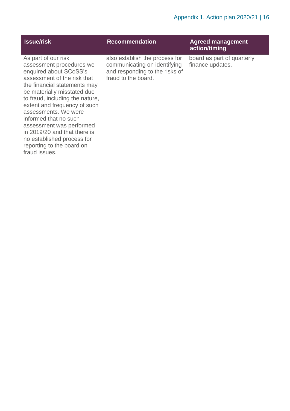| <b>Issue/risk</b>                                                                                                                                                                                                                                                                                                                                                                                                                   | <b>Recommendation</b>                                                                                                   | <b>Agreed management</b><br>action/timing      |
|-------------------------------------------------------------------------------------------------------------------------------------------------------------------------------------------------------------------------------------------------------------------------------------------------------------------------------------------------------------------------------------------------------------------------------------|-------------------------------------------------------------------------------------------------------------------------|------------------------------------------------|
| As part of our risk<br>assessment procedures we<br>enquired about SCoSS's<br>assessment of the risk that<br>the financial statements may<br>be materially misstated due<br>to fraud, including the nature,<br>extent and frequency of such<br>assessments. We were<br>informed that no such<br>assessment was performed<br>in 2019/20 and that there is<br>no established process for<br>reporting to the board on<br>fraud issues. | also establish the process for<br>communicating on identifying<br>and responding to the risks of<br>fraud to the board. | board as part of quarterly<br>finance updates. |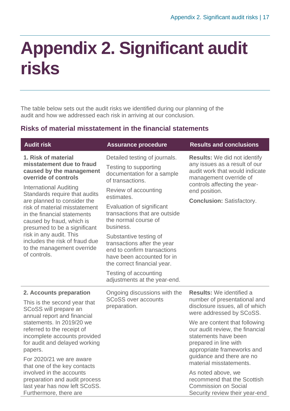### <span id="page-16-0"></span>**Appendix 2. Significant audit risks**

The table below sets out the audit risks we identified during our planning of the audit and how we addressed each risk in arriving at our conclusion.

#### **Risks of material misstatement in the financial statements**

| <b>Audit risk</b>                                                                                                                                                                                                                                                                                                                     | <b>Assurance procedure</b>                                                                                                                                                                                                                                                                                                                          | <b>Results and conclusions</b>                                                                                                                                               |
|---------------------------------------------------------------------------------------------------------------------------------------------------------------------------------------------------------------------------------------------------------------------------------------------------------------------------------------|-----------------------------------------------------------------------------------------------------------------------------------------------------------------------------------------------------------------------------------------------------------------------------------------------------------------------------------------------------|------------------------------------------------------------------------------------------------------------------------------------------------------------------------------|
| 1. Risk of material<br>misstatement due to fraud<br>caused by the management<br>override of controls                                                                                                                                                                                                                                  | Detailed testing of journals.<br>Testing to supporting<br>documentation for a sample<br>of transactions.                                                                                                                                                                                                                                            | <b>Results:</b> We did not identify<br>any issues as a result of our<br>audit work that would indicate<br>management override of                                             |
| <b>International Auditing</b><br>Standards require that audits<br>are planned to consider the<br>risk of material misstatement<br>in the financial statements<br>caused by fraud, which is<br>presumed to be a significant<br>risk in any audit. This<br>includes the risk of fraud due<br>to the management override<br>of controls. | Review of accounting<br>estimates.<br>Evaluation of significant<br>transactions that are outside<br>the normal course of<br>business.<br>Substantive testing of<br>transactions after the year<br>end to confirm transactions<br>have been accounted for in<br>the correct financial year.<br>Testing of accounting<br>adjustments at the year-end. | controls affecting the year-<br>end position.<br><b>Conclusion: Satisfactory.</b>                                                                                            |
| 2. Accounts preparation<br>This is the second year that<br>SCoSS will prepare an<br>annual report and financial                                                                                                                                                                                                                       | Ongoing discussions with the<br><b>SCoSS over accounts</b><br>preparation.                                                                                                                                                                                                                                                                          | <b>Results:</b> We identified a<br>number of presentational and<br>disclosure issues, all of which<br>were addressed by SCoSS.                                               |
| statements. In 2019/20 we<br>referred to the receipt of<br>incomplete accounts provided<br>for audit and delayed working<br>papers.<br>For 2020/21 we are aware                                                                                                                                                                       |                                                                                                                                                                                                                                                                                                                                                     | We are content that following<br>our audit review, the financial<br>statements have been<br>prepared in line with<br>appropriate frameworks and<br>guidance and there are no |
| that one of the key contacts<br>involved in the accounts<br>preparation and audit process<br>last year has now left SCoSS.<br>Furthermore, there are                                                                                                                                                                                  |                                                                                                                                                                                                                                                                                                                                                     | material misstatements.<br>As noted above, we<br>recommend that the Scottish<br><b>Commission on Social</b><br>Security review their year-end                                |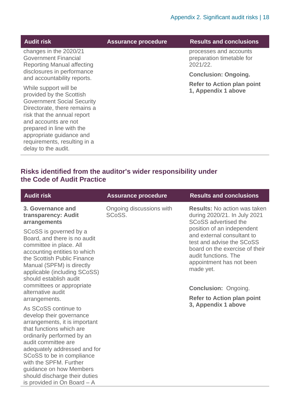| <b>Audit risk</b>                                                                                                                                                                                                                                                                             | <b>Assurance procedure</b> | <b>Results and conclusions</b>                                  |
|-----------------------------------------------------------------------------------------------------------------------------------------------------------------------------------------------------------------------------------------------------------------------------------------------|----------------------------|-----------------------------------------------------------------|
| changes in the 2020/21<br><b>Government Financial</b><br><b>Reporting Manual affecting</b>                                                                                                                                                                                                    |                            | processes and accounts<br>preparation timetable for<br>2021/22. |
| disclosures in performance<br>and accountability reports.                                                                                                                                                                                                                                     |                            | <b>Conclusion: Ongoing.</b>                                     |
| While support will be<br>provided by the Scottish<br><b>Government Social Security</b><br>Directorate, there remains a<br>risk that the annual report<br>and accounts are not<br>prepared in line with the<br>appropriate guidance and<br>requirements, resulting in a<br>delay to the audit. |                            | <b>Refer to Action plan point</b><br>1, Appendix 1 above        |

#### **Risks identified from the auditor's wider responsibility under the Code of Audit Practice**

| <b>Audit risk</b>                                                                                                                                                                                                                                                                                                     | <b>Assurance procedure</b>         | <b>Results and conclusions</b>                                                                                                                                                           |
|-----------------------------------------------------------------------------------------------------------------------------------------------------------------------------------------------------------------------------------------------------------------------------------------------------------------------|------------------------------------|------------------------------------------------------------------------------------------------------------------------------------------------------------------------------------------|
| 3. Governance and<br>transparency: Audit<br>arrangements                                                                                                                                                                                                                                                              | Ongoing discussions with<br>SCoSS. | <b>Results:</b> No action was taken<br>during 2020/21. In July 2021<br><b>SCoSS</b> advertised the                                                                                       |
| SCoSS is governed by a<br>Board, and there is no audit<br>committee in place. All<br>accounting entities to which<br>the Scottish Public Finance<br>Manual (SPFM) is directly<br>applicable (including SCoSS)<br>should establish audit                                                                               |                                    | position of an independent<br>and external consultant to<br>test and advise the SCoSS<br>board on the exercise of their<br>audit functions. The<br>appointment has not been<br>made yet. |
| committees or appropriate<br>alternative audit                                                                                                                                                                                                                                                                        |                                    | <b>Conclusion: Ongoing.</b>                                                                                                                                                              |
| arrangements.                                                                                                                                                                                                                                                                                                         |                                    | <b>Refer to Action plan point</b><br>3, Appendix 1 above                                                                                                                                 |
| As SCoSS continue to<br>develop their governance<br>arrangements, it is important<br>that functions which are<br>ordinarily performed by an<br>audit committee are<br>adequately addressed and for<br>SCoSS to be in compliance<br>with the SPFM. Further<br>guidance on how Members<br>should discharge their duties |                                    |                                                                                                                                                                                          |
| is provided in On Board - A                                                                                                                                                                                                                                                                                           |                                    |                                                                                                                                                                                          |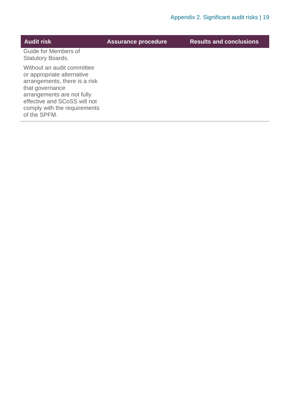| <b>Audit risk</b>                                                                                                                                                                                                          | <b>Assurance procedure</b> | <b>Results and conclusions</b> |
|----------------------------------------------------------------------------------------------------------------------------------------------------------------------------------------------------------------------------|----------------------------|--------------------------------|
| Guide for Members of<br><b>Statutory Boards.</b>                                                                                                                                                                           |                            |                                |
| Without an audit committee<br>or appropriate alternative<br>arrangements, there is a risk<br>that governance<br>arrangements are not fully<br>effective and SCoSS will not<br>comply with the requirements<br>of the SPFM. |                            |                                |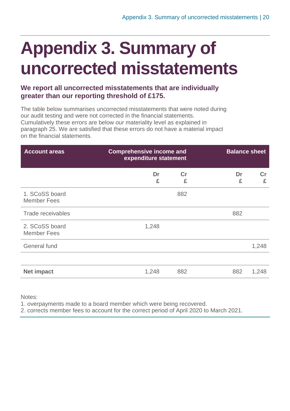## <span id="page-19-0"></span>**Appendix 3. Summary of uncorrected misstatements**

#### **We report all uncorrected misstatements that are individually greater than our reporting threshold of £175.**

The table below summarises uncorrected misstatements that were noted during our audit testing and were not corrected in the financial statements. Cumulatively these errors are below our materiality level as explained in paragraph 25. We are satisfied that these errors do not have a material impact on the financial statements.

| <b>Account areas</b>                 | <b>Comprehensive income and</b><br>expenditure statement |                    |         | <b>Balance sheet</b> |
|--------------------------------------|----------------------------------------------------------|--------------------|---------|----------------------|
|                                      | Dr<br>£                                                  | $\mathsf{Cr}$<br>£ | Dr<br>£ | Cr<br>£              |
| 1. SCoSS board<br><b>Member Fees</b> |                                                          | 882                |         |                      |
| Trade receivables                    |                                                          |                    | 882     |                      |
| 2. SCoSS board<br><b>Member Fees</b> | 1,248                                                    |                    |         |                      |
| <b>General fund</b>                  |                                                          |                    |         | 1,248                |
|                                      |                                                          |                    |         |                      |
| <b>Net impact</b>                    | 1,248                                                    | 882                | 882     | 1,248                |

Notes:

1. overpayments made to a board member which were being recovered.

2. corrects member fees to account for the correct period of April 2020 to March 2021.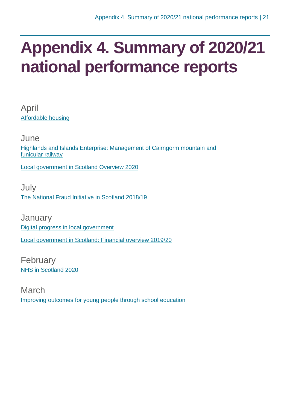### <span id="page-20-0"></span>**Appendix 4. Summary of 2020/21 national performance reports**

April [Affordable housing](https://www.audit-scotland.gov.uk/report/affordable-housing)

June [Highlands and Islands Enterprise: Management of Cairngorm mountain and](https://www.audit-scotland.gov.uk/report/highlands-and-islands-enterprise-management-of-cairngorm-mountain-and-funicular-railway)  [funicular railway](https://www.audit-scotland.gov.uk/report/highlands-and-islands-enterprise-management-of-cairngorm-mountain-and-funicular-railway)

[Local government in Scotland Overview 2020](https://www.audit-scotland.gov.uk/report/local-government-in-scotland-overview-2020)

**July** [The National Fraud Initiative in Scotland 2018/19](https://www.audit-scotland.gov.uk/report/the-national-fraud-initiative-in-scotland-201819)

**January** [Digital progress in local government](https://www.audit-scotland.gov.uk/report/digital-progress-in-local-government) [Local government in Scotland: Financial overview 2019/20](https://www.audit-scotland.gov.uk/report/local-government-in-scotland-financial-overview-201920)

February [NHS in Scotland 2020](https://www.audit-scotland.gov.uk/report/nhs-in-scotland-2020)

March [Improving outcomes for young people through school education](https://www.audit-scotland.gov.uk/report/improving-outcomes-for-young-people-through-school-education)